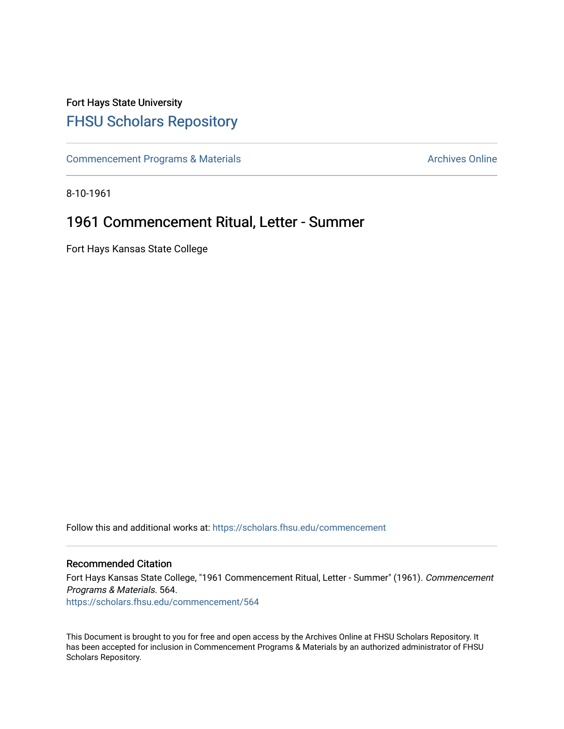## Fort Hays State University [FHSU Scholars Repository](https://scholars.fhsu.edu/)

[Commencement Programs & Materials](https://scholars.fhsu.edu/commencement) **Archives Online** Archives Online

8-10-1961

## 1961 Commencement Ritual, Letter - Summer

Fort Hays Kansas State College

Follow this and additional works at: [https://scholars.fhsu.edu/commencement](https://scholars.fhsu.edu/commencement?utm_source=scholars.fhsu.edu%2Fcommencement%2F564&utm_medium=PDF&utm_campaign=PDFCoverPages)

## Recommended Citation

Fort Hays Kansas State College, "1961 Commencement Ritual, Letter - Summer" (1961). Commencement Programs & Materials. 564. [https://scholars.fhsu.edu/commencement/564](https://scholars.fhsu.edu/commencement/564?utm_source=scholars.fhsu.edu%2Fcommencement%2F564&utm_medium=PDF&utm_campaign=PDFCoverPages)

This Document is brought to you for free and open access by the Archives Online at FHSU Scholars Repository. It has been accepted for inclusion in Commencement Programs & Materials by an authorized administrator of FHSU Scholars Repository.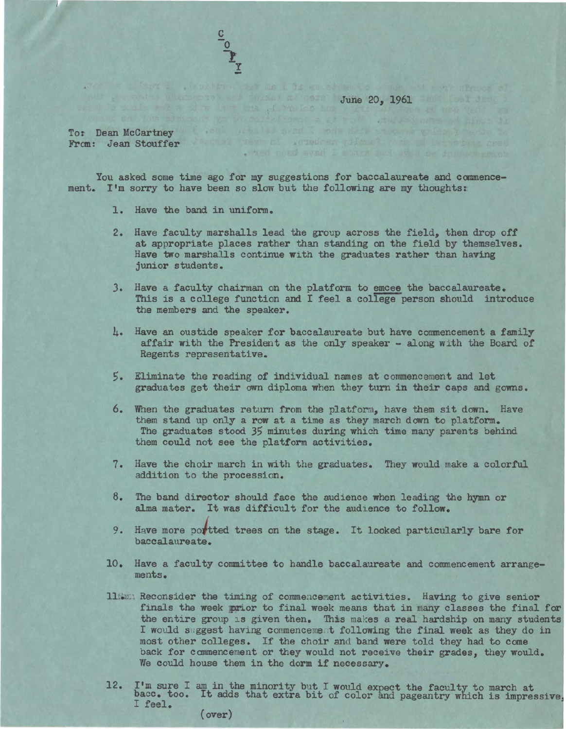June 20, 1961 and the state of the County of the County of the County of the County of the County of the County of the County of the County of the County of the County of the County of the County of the County of the Count

when need ever I saves bud at I am des when the

To: Dean McCartney ( , and , and , wall , above the second professor of the second From: Jean Stouffer William and Jenseiger with the state of the state of the state of

You asked some time ago for my suggestions for baccalaureate and commencement. I'm sorry to have been so slow but the following are my thoughts:

be illien I . Nobber has as I is as abparts was of per showe al

- 1. Have the band in uniform.
- 2. Have faculty marshalls lead the group across the field, then drop off at appropriate places rather than standing on the field by themselves. Have two marshalls continue with the graduates rather than having junior students.
- *3.* Have a faculty chairman on the platform to emcee the baccalaureate. This is a college function and I feel a college person should introduce the members and the speaker.
- 4. Have an oustide speaker for baccalaureate but have commencement a family affair with the President as the only speaker - along with the Board of Regents representative.
- 5. Eliminate the reading of individual names at commencement and let graduates get their own diploma when they turn in their caps and gowns.
- 6. When the graduates return from the platform, have them sit down. Have them stand up only a **row** at a time as they march down to platform. The graduates stood 35 minutes during which time many parents behind them could not see the platform activities.
- 7. Have the choir march in with the graduates. They would make a colorful addition to the procession.
- 8. The band director should face the audience **when** leading the hymn or alma mater. It was difficult for the audience to follow.
- 9. Have more portted trees on the stage. It looked particularly bare for baccalaureate.
- 10. Have a faculty committee to handle baccalaureate and commencement arrangements.
- 116201 Reconsider the timing of commencement activities. Having to give senior finals the week prior to final week means that in many classes the final for the entire group is given then. This makes a real hardship on many students I would suggest having commencement following the final week as they do in most other colleges. If the choir and band were told they had to come back for commencement or they would not receive their grades, they would. We could house them in the dorm if necessary.
- 12. I'm sure I am in the minority but I would expect the faculty to march at bacc. too. It adds that extra bit of color and pageantry which is impressive, I feel. (over)